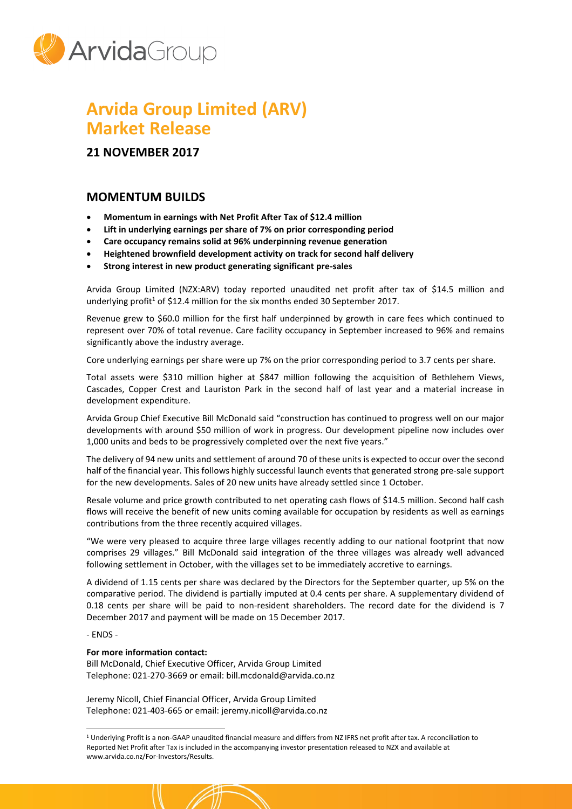

## **Arvida Group Limited (ARV) Market Release**

**21 NOVEMBER 2017**

## **MOMENTUM BUILDS**

- **Momentum in earnings with Net Profit After Tax of \$12.4 million**
- **Lift in underlying earnings per share of 7% on prior corresponding period**
- **Care occupancy remains solid at 96% underpinning revenue generation**
- **Heightened brownfield development activity on track for second half delivery**
- **Strong interest in new product generating significant pre-sales**

Arvida Group Limited (NZX:ARV) today reported unaudited net profit after tax of \$14.5 million and underlying profit<sup>1</sup> of \$12.4 million for the six months ended 30 September 2017.

Revenue grew to \$60.0 million for the first half underpinned by growth in care fees which continued to represent over 70% of total revenue. Care facility occupancy in September increased to 96% and remains significantly above the industry average.

Core underlying earnings per share were up 7% on the prior corresponding period to 3.7 cents per share.

Total assets were \$310 million higher at \$847 million following the acquisition of Bethlehem Views, Cascades, Copper Crest and Lauriston Park in the second half of last year and a material increase in development expenditure.

Arvida Group Chief Executive Bill McDonald said "construction has continued to progress well on our major developments with around \$50 million of work in progress. Our development pipeline now includes over 1,000 units and beds to be progressively completed over the next five years."

The delivery of 94 new units and settlement of around 70 of these unitsis expected to occur over the second half of the financial year. This follows highly successful launch events that generated strong pre-sale support for the new developments. Sales of 20 new units have already settled since 1 October.

Resale volume and price growth contributed to net operating cash flows of \$14.5 million. Second half cash flows will receive the benefit of new units coming available for occupation by residents as well as earnings contributions from the three recently acquired villages.

"We were very pleased to acquire three large villages recently adding to our national footprint that now comprises 29 villages." Bill McDonald said integration of the three villages was already well advanced following settlement in October, with the villages set to be immediately accretive to earnings.

A dividend of 1.15 cents per share was declared by the Directors for the September quarter, up 5% on the comparative period. The dividend is partially imputed at 0.4 cents per share. A supplementary dividend of 0.18 cents per share will be paid to non-resident shareholders. The record date for the dividend is 7 December 2017 and payment will be made on 15 December 2017.

- ENDS -

 $\overline{a}$ 

## **For more information contact:**

Bill McDonald, Chief Executive Officer, Arvida Group Limited Telephone: 021-270-3669 or email: bill.mcdonald@arvida.co.nz

Jeremy Nicoll, Chief Financial Officer, Arvida Group Limited Telephone: 021-403-665 or email: jeremy.nicoll@arvida.co.nz

<sup>1</sup> Underlying Profit is a non-GAAP unaudited financial measure and differs from NZ IFRS net profit after tax. A reconciliation to Reported Net Profit after Tax is included in the accompanying investor presentation released to NZX and available at www.arvida.co.nz/For-Investors/Results.